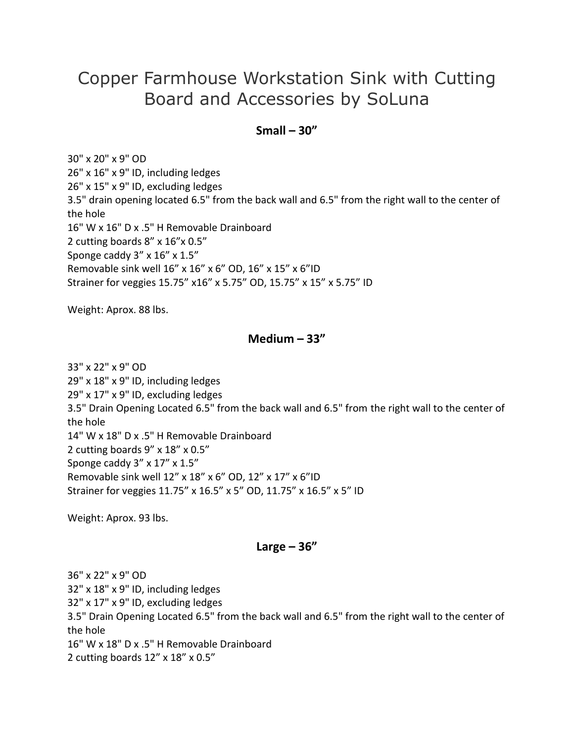# Copper Farmhouse Workstation Sink with Cutting Board and Accessories by SoLuna

## **Small – 30"**

30" x 20" x 9" OD 26" x 16" x 9" ID, including ledges 26" x 15" x 9" ID, excluding ledges 3.5" drain opening located 6.5" from the back wall and 6.5" from the right wall to the center of the hole 16" W x 16" D x .5" H Removable Drainboard 2 cutting boards 8" x 16"x 0.5" Sponge caddy 3" x 16" x 1.5" Removable sink well 16" x 16" x 6" OD, 16" x 15" x 6"ID Strainer for veggies 15.75" x16" x 5.75" OD, 15.75" x 15" x 5.75" ID

Weight: Aprox. 88 lbs.

## **Medium – 33"**

33" x 22" x 9" OD 29" x 18" x 9" ID, including ledges 29" x 17" x 9" ID, excluding ledges 3.5" Drain Opening Located 6.5" from the back wall and 6.5" from the right wall to the center of the hole 14" W x 18" D x .5" H Removable Drainboard 2 cutting boards 9" x 18" x 0.5" Sponge caddy 3" x 17" x 1.5" Removable sink well 12" x 18" x 6" OD, 12" x 17" x 6"ID Strainer for veggies 11.75" x 16.5" x 5" OD, 11.75" x 16.5" x 5" ID

Weight: Aprox. 93 lbs.

### **Large – 36"**

36" x 22" x 9" OD 32" x 18" x 9" ID, including ledges 32" x 17" x 9" ID, excluding ledges 3.5" Drain Opening Located 6.5" from the back wall and 6.5" from the right wall to the center of the hole 16" W x 18" D x .5" H Removable Drainboard 2 cutting boards 12" x 18" x 0.5"